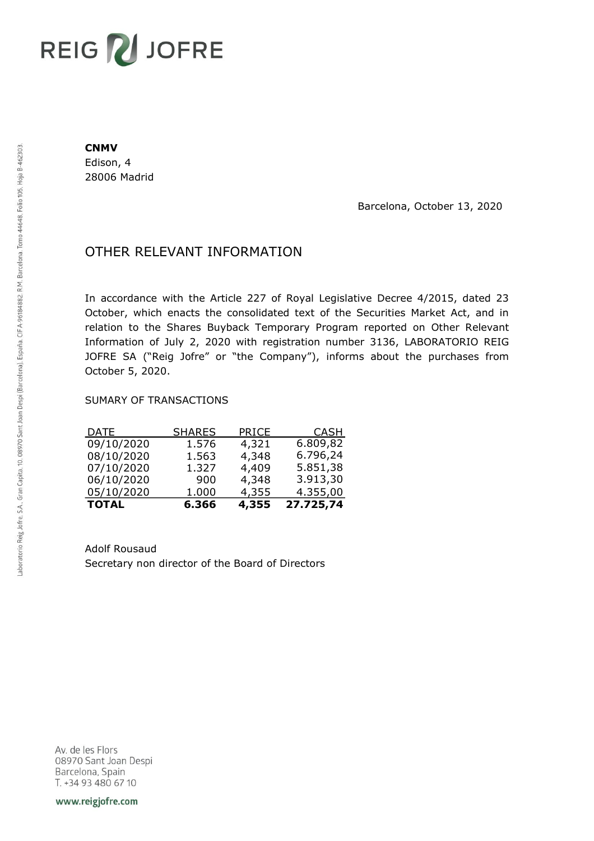# REIG V JOFRE

#### **CNMV**

Edison, 4 28006 Madrid

Barcelona, October 13, 2020

## OTHER RELEVANT INFORMATION

In accordance with the Article 227 of Royal Legislative Decree 4/2015, dated 23 October, which enacts the consolidated text of the Securities Market Act, and in relation to the Shares Buyback Temporary Program reported on Other Relevant Information of July 2, 2020 with registration number 3136, LABORATORIO REIG JOFRE SA ("Reig Jofre" or "the Company"), informs about the purchases from October 5, 2020.

### SUMARY OF TRANSACTIONS

| <b>TOTAL</b> | 6.366         | 4,355        | 27.725,74   |
|--------------|---------------|--------------|-------------|
| 05/10/2020   | 1.000         | 4,355        | 4.355,00    |
| 06/10/2020   | 900           | 4,348        | 3.913,30    |
| 07/10/2020   | 1.327         | 4,409        | 5.851,38    |
| 08/10/2020   | 1.563         | 4,348        | 6.796,24    |
| 09/10/2020   | 1.576         | 4,321        | 6.809,82    |
| <b>DATE</b>  | <u>SHARES</u> | <b>PRICE</b> | <u>CASH</u> |

Adolf Rousaud Secretary non director of the Board of Directors

Av. de les Flors 08970 Sant Joan Despi Barcelona, Spain T. +34 93 480 67 10

www.reigjofre.com